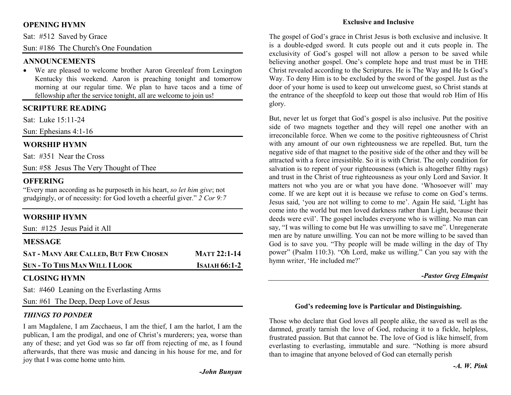## **OPENING HYMN**

Sat: #512 Saved by Grace

Sun: #186 The Church's One Foundation

#### **ANNOUNCEMENTS**

 • We are pleased to welcome brother Aaron Greenleaf from Lexington Kentucky this weekend. Aaron is preaching tonight and tomorrow morning at our regular time. We plan to have tacos and a time of fellowship after the service tonight, all are welcome to join us!

#### **SCRIPTURE READING**

Sat: Luke 15:11-24

Sun: Ephesians 4:1-16

#### **WORSHIP HYMN**

Sat: #351 Near the Cross

Sun: #58 Jesus The Very Thought of Thee

#### **OFFERING**

 "Every man according as he purposeth in his heart, *so let him give*; not grudgingly, or of necessity: for God loveth a cheerful giver." *2 Cor 9:7*

#### **WORSHIP HYMN**

Sun: #125 Jesus Paid it All

#### **MESSAGE**

| <b>SAT - MANY ARE CALLED, BUT FEW CHOSEN</b> | <b>MATT 22:1-14</b>  |
|----------------------------------------------|----------------------|
| <b>SUN - TO THIS MAN WILL I LOOK</b>         | <b>ISAIAH 66:1-2</b> |

# **CLOSING HYMN**

Sat: #460 Leaning on the Everlasting Arms

Sun: #61 The Deep, Deep Love of Jesus

#### *THINGS TO PONDER*

I am Magdalene, I am Zacchaeus, I am the thief, I am the harlot, I am the publican, I am the prodigal, and one of Christ's murderers; yea, worse than any of these; and yet God was so far off from rejecting of me, as I found afterwards, that there was music and dancing in his house for me, and for joy that I was come home unto him.

#### **Exclusive and Inclusive**

The gospel of God's grace in Christ Jesus is both exclusive and inclusive. It is a double-edged sword. It cuts people out and it cuts people in. The exclusivity of God's gospel will not allow a person to be saved while believing another gospel. One's complete hope and trust must be in THE Christ revealed according to the Scriptures. He is The Way and He Is God's Way. To deny Him is to be excluded by the sword of the gospel. Just as the door of your home is used to keep out unwelcome guest, so Christ stands at the entrance of the sheepfold to keep out those that would rob Him of His glory.

But, never let us forget that God's gospel is also inclusive. Put the positive side of two magnets together and they will repel one another with an irreconcilable force. When we come to the positive righteousness of Christ with any amount of our own righteousness we are repelled. But, turn the negative side of that magnet to the positive side of the other and they will be attracted with a force irresistible. So it is with Christ. The only condition for salvation is to repent of your righteousness (which is altogether filthy rags) and trust in the Christ of true righteousness as your only Lord and Savior. It matters not who you are or what you have done. 'Whosoever will' may come. If we are kept out it is because we refuse to come on God's terms. Jesus said, 'you are not willing to come to me'. Again He said, 'Light has come into the world but men loved darkness rather than Light, because their deeds were evil'. The gospel includes everyone who is willing. No man can say, "I was willing to come but He was unwilling to save me". Unregenerate men are by nature unwilling. You can not be more willing to be saved than God is to save you. "Thy people will be made willing in the day of Thy power" (Psalm 110:3). "Oh Lord, make us willing." Can you say with the hymn writer, 'He included me?'

#### *-Pastor Greg Elmquist*

#### **God's redeeming love is Particular and Distinguishing.**

Those who declare that God loves all people alike, the saved as well as the damned, greatly tarnish the love of God, reducing it to a fickle, helpless, frustrated passion. But that cannot be. The love of God is like himself, from everlasting to everlasting, immutable and sure. "Nothing is more absurd than to imagine that anyone beloved of God can eternally perish